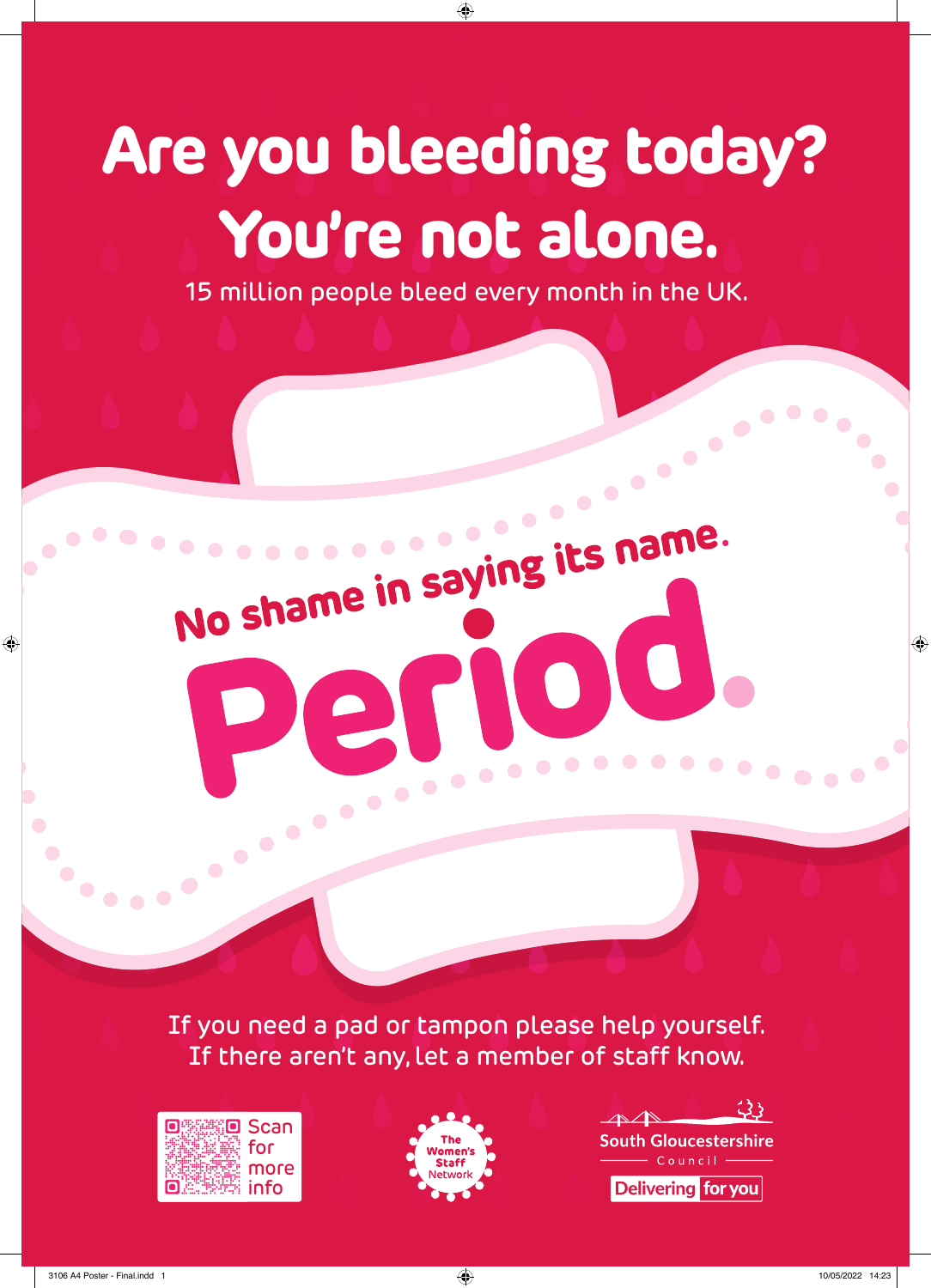## **Are you bleeding today? You're not alone.**

⊕

15 million people bleed every month in the UK.

No shame in saying its name.

me in saying its name.

 $\bullet$ 

If you need a pad or tampon please help yourself. If there aren't any, let a member of staff know.

PELLER







 $\bullet\bullet\bullet\bullet$ 

◈

◈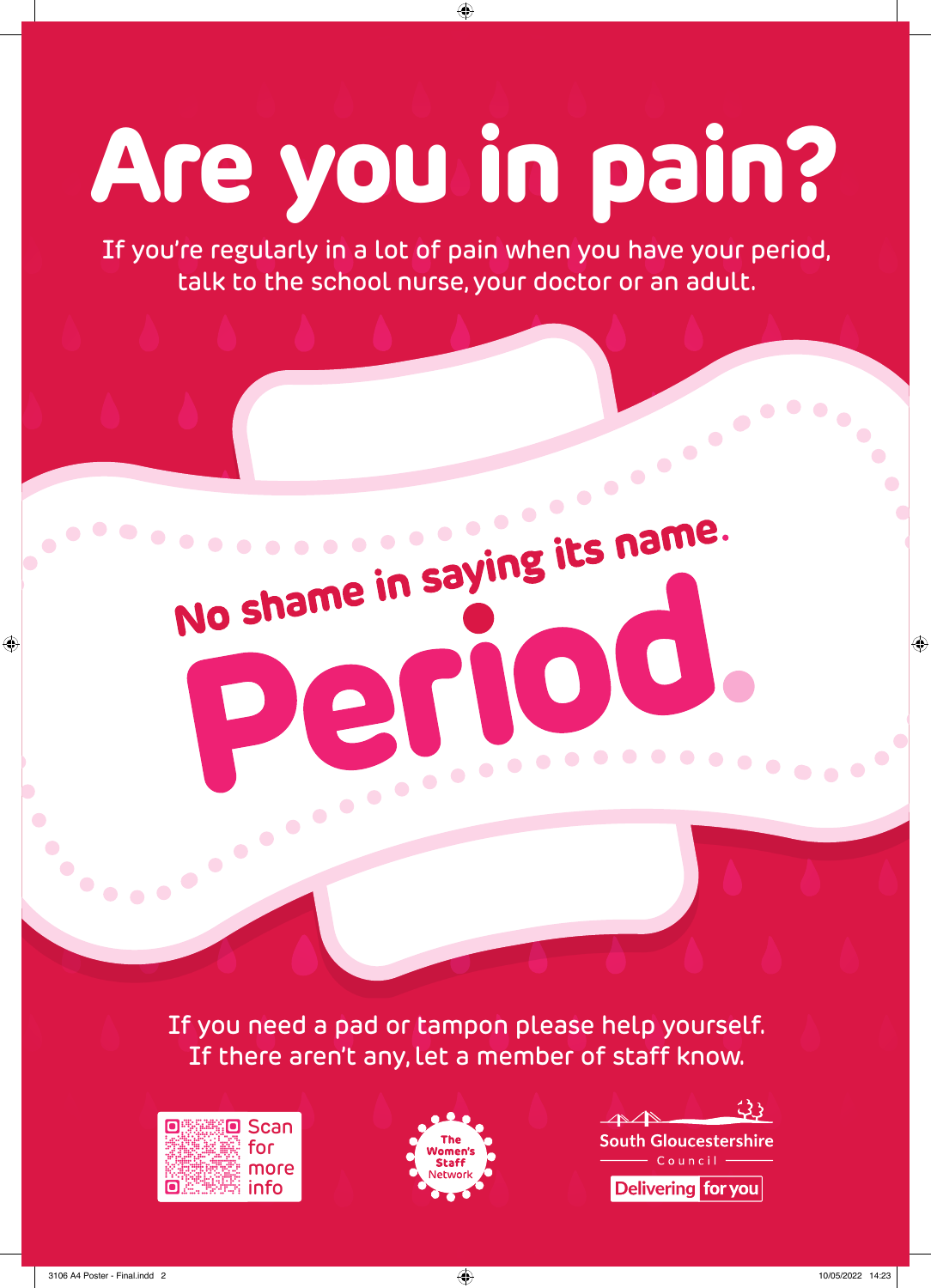# **Are you in pain?**

⊕

If you're regularly in a lot of pain when you have your period, talk to the school nurse, your doctor or an adult.

ST O

PEL SONO

No shame in saying its name.

NO)

If you need a pad or tampon please help yourself. If there aren't any, let a member of staff know.





 $23<sub>1</sub>$  $\triangle$ **South Gloucestershire** Council **Delivering for you** 

◈

 $\begin{array}{c} \hline \end{array}$ 

◈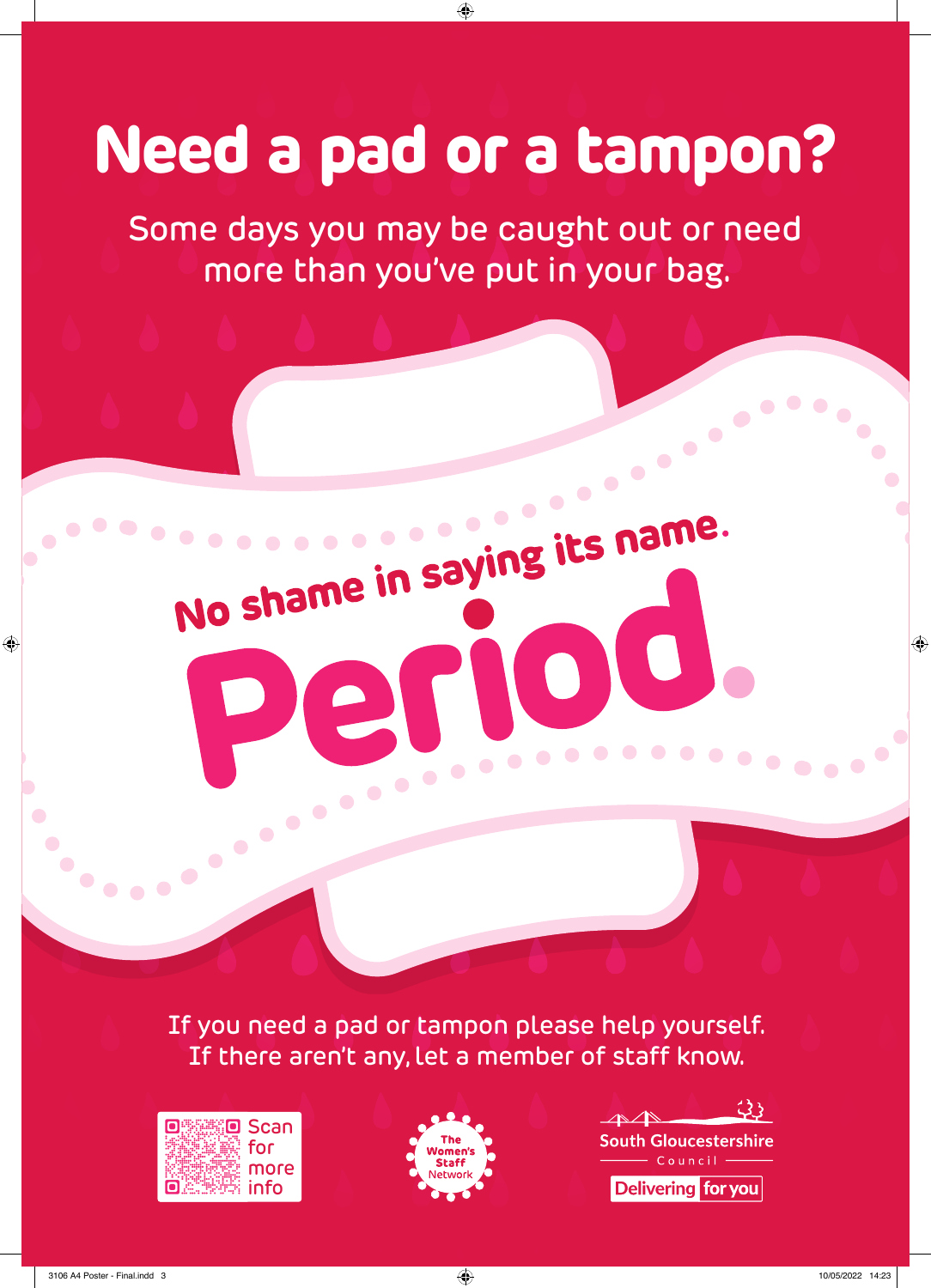### **Need a pad or a tampon?**

⊕

Some days you may be caught out or need more than you've put in your bag.

No shame in saying its name.

No shame in saying its name.

PELLER

NO)

If you need a pad or tampon please help yourself. If there aren't any, let a member of staff know.







◈

D

◈

 $\bullet$   $\bullet$   $\bullet$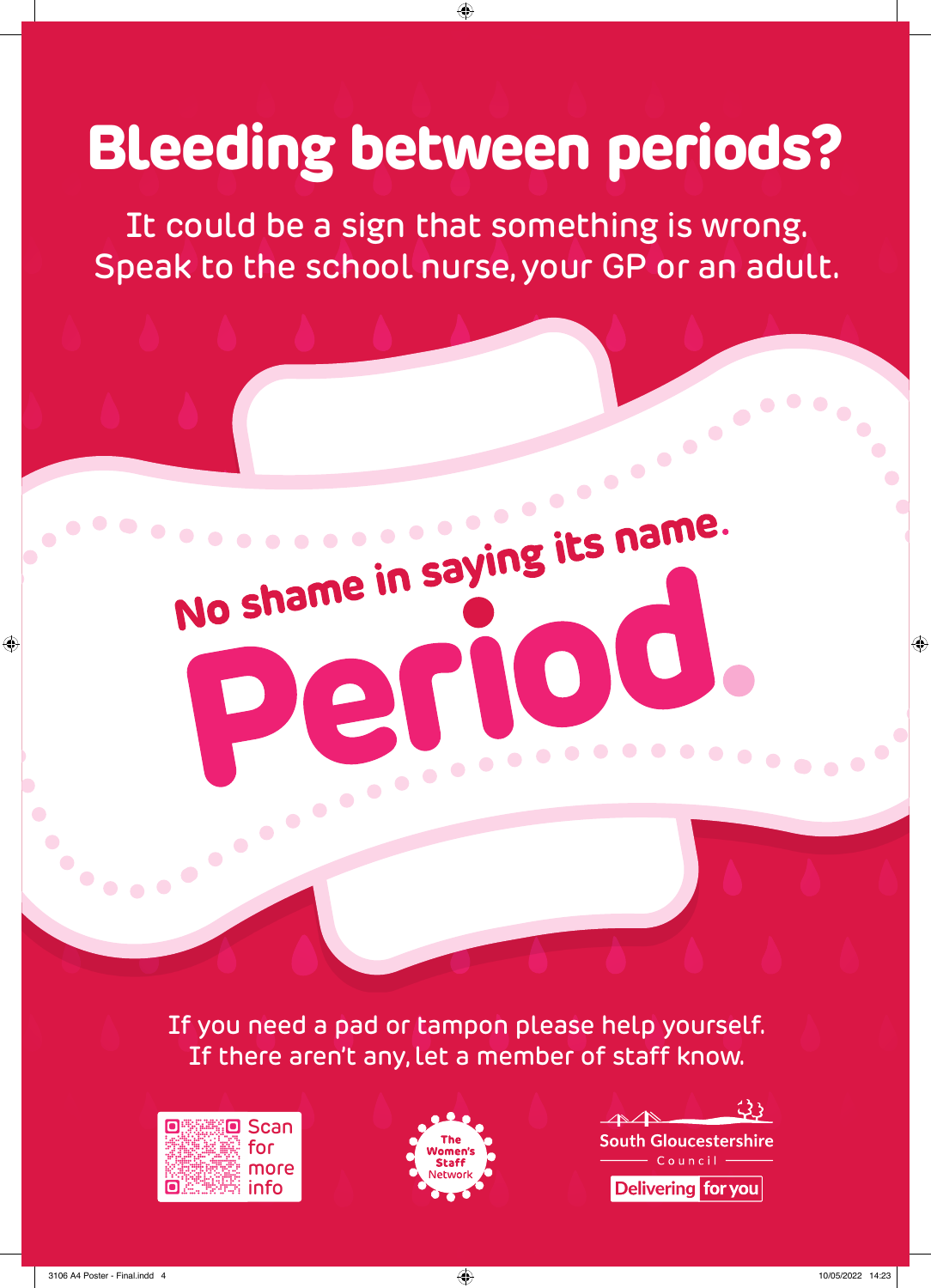#### **Bleeding between periods?**

⊕

It could be a sign that something is wrong. Speak to the school nurse, your GP or an adult.

No shame in saying its name.

No shame in saying its name.

PELLER

 $\sqrt{\bullet}$ 

If you need a pad or tampon please help yourself. If there aren't any, let a member of staff know.





 $23$ **South Gloucestershire Delivering for you** 

◈

◈

 $\bullet\bullet\bullet$